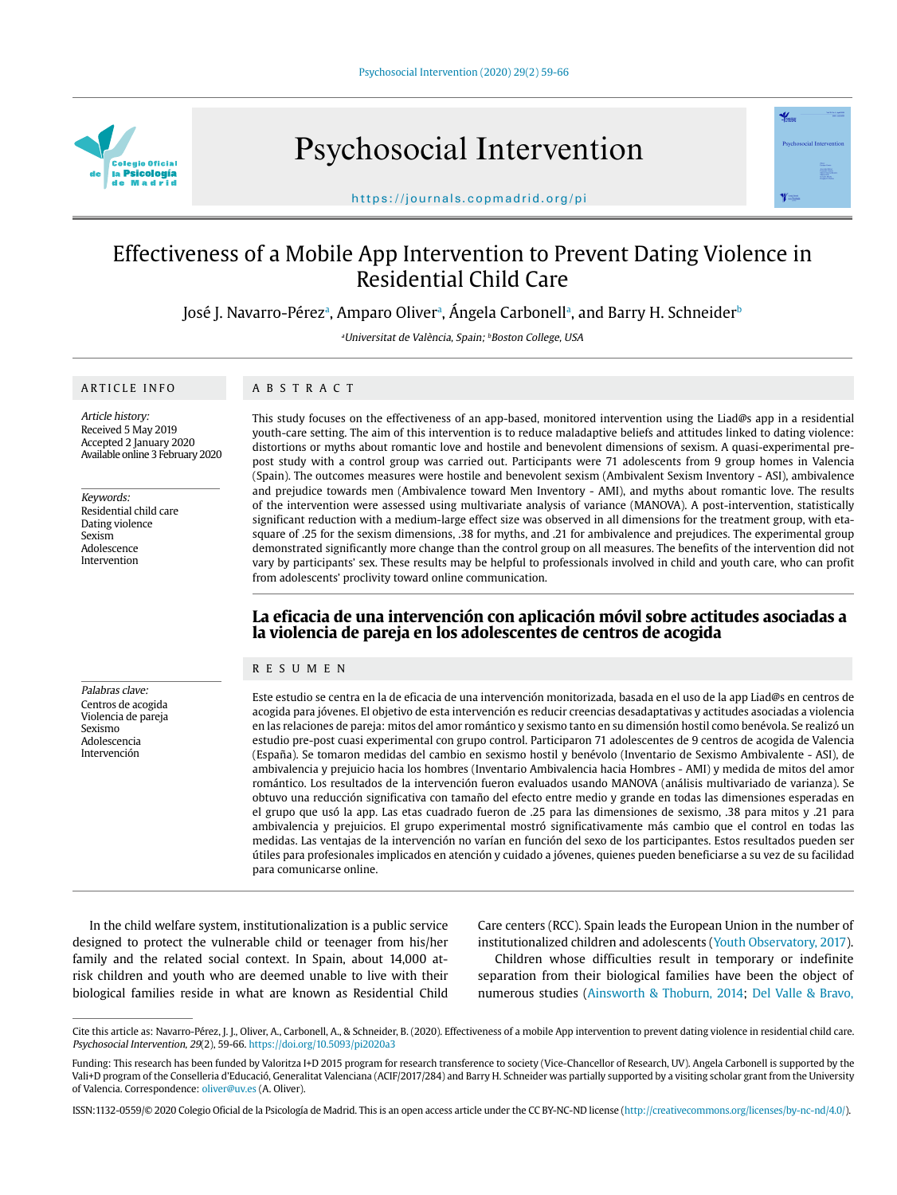

Psychosocial Intervention



https://journals.copmadrid.org/pi

# Effectiveness of a Mobile App Intervention to Prevent Dating Violence in Residential Child Care

José J. Navarro-Pérezª, Amparo Oliverª, Angela Carbonellª, and Barry H. Schneider<sup>t</sup>

<sup>a</sup>Universitat de València, Spain; <sup>b</sup>Boston College, USA

# ARTICLE INFO

# ABSTRACT

Article history: Received 5 May 2019 Accepted 2 January 2020 Available online 3 February 2020

Keywords: Residential child care Dating violence Sexism Adolescence Intervention

Palabras clave: Centros de acogida Violencia de pareja Sexismo Adolescencia Intervención

This study focuses on the effectiveness of an app-based, monitored intervention using the Liad@s app in a residential youth-care setting. The aim of this intervention is to reduce maladaptive beliefs and attitudes linked to dating violence: distortions or myths about romantic love and hostile and benevolent dimensions of sexism. A quasi-experimental prepost study with a control group was carried out. Participants were 71 adolescents from 9 group homes in Valencia (Spain). The outcomes measures were hostile and benevolent sexism (Ambivalent Sexism Inventory - ASI), ambivalence and prejudice towards men (Ambivalence toward Men Inventory - AMI), and myths about romantic love. The results of the intervention were assessed using multivariate analysis of variance (MANOVA). A post-intervention, statistically significant reduction with a medium-large effect size was observed in all dimensions for the treatment group, with etasquare of .25 for the sexism dimensions, .38 for myths, and .21 for ambivalence and prejudices. The experimental group demonstrated significantly more change than the control group on all measures. The benefits of the intervention did not vary by participants' sex. These results may be helpful to professionals involved in child and youth care, who can profit from adolescents' proclivity toward online communication.

# **La eficacia de una intervención con aplicación móvil sobre actitudes asociadas a la violencia de pareja en los adolescentes de centros de acogida**

#### RESUMEN

Este estudio se centra en la de eficacia de una intervención monitorizada, basada en el uso de la app Liad@s en centros de acogida para jóvenes. El objetivo de esta intervención es reducir creencias desadaptativas y actitudes asociadas a violencia en las relaciones de pareja: mitos del amor romántico y sexismo tanto en su dimensión hostil como benévola. Se realizó un estudio pre-post cuasi experimental con grupo control. Participaron 71 adolescentes de 9 centros de acogida de Valencia (España). Se tomaron medidas del cambio en sexismo hostil y benévolo (Inventario de Sexismo Ambivalente - ASI), de ambivalencia y prejuicio hacia los hombres (Inventario Ambivalencia hacia Hombres - AMI) y medida de mitos del amor romántico. Los resultados de la intervención fueron evaluados usando MANOVA (análisis multivariado de varianza). Se obtuvo una reducción significativa con tamaño del efecto entre medio y grande en todas las dimensiones esperadas en el grupo que usó la app. Las etas cuadrado fueron de .25 para las dimensiones de sexismo, .38 para mitos y .21 para ambivalencia y prejuicios. El grupo experimental mostró significativamente más cambio que el control en todas las medidas. Las ventajas de la intervención no varían en función del sexo de los participantes. Estos resultados pueden ser útiles para profesionales implicados en atención y cuidado a jóvenes, quienes pueden beneficiarse a su vez de su facilidad para comunicarse online.

In the child welfare system, institutionalization is a public service designed to protect the vulnerable child or teenager from his/her family and the related social context. In Spain, about 14,000 atrisk children and youth who are deemed unable to live with their biological families reside in what are known as Residential Child Care centers (RCC). Spain leads the European Union in the number of institutionalized children and adolescents (Youth Observatory, 2017).

Children whose difficulties result in temporary or indefinite separation from their biological families have been the object of numerous studies (Ainsworth & Thoburn, 2014; Del Valle & Bravo,

Cite this article as: Navarro-Pérez, J. J., Oliver, A., Carbonell, A., & Schneider, B. (2020). Effectiveness of a mobile App intervention to prevent dating violence in residential child care. Psychosocial Intervention, 29(2), 59-66. https://doi.org/10.5093/pi2020a3

Funding: This research has been funded by Valoritza I+D 2015 program for research transference to society (Vice-Chancellor of Research, UV). Angela Carbonell is supported by the Vali+D program of the Conselleria d'Educació, Generalitat Valenciana (ACIF/2017/284) and Barry H. Schneider was partially supported by a visiting scholar grant from the University of Valencia. Correspondence: oliver@uv.es (A. Oliver).

ISSN:1132-0559/© 2020 Colegio Oficial de la Psicología de Madrid. This is an open access article under the CC BY-NC-ND license (http://creativecommons.org/licenses/by-nc-nd/4.0/).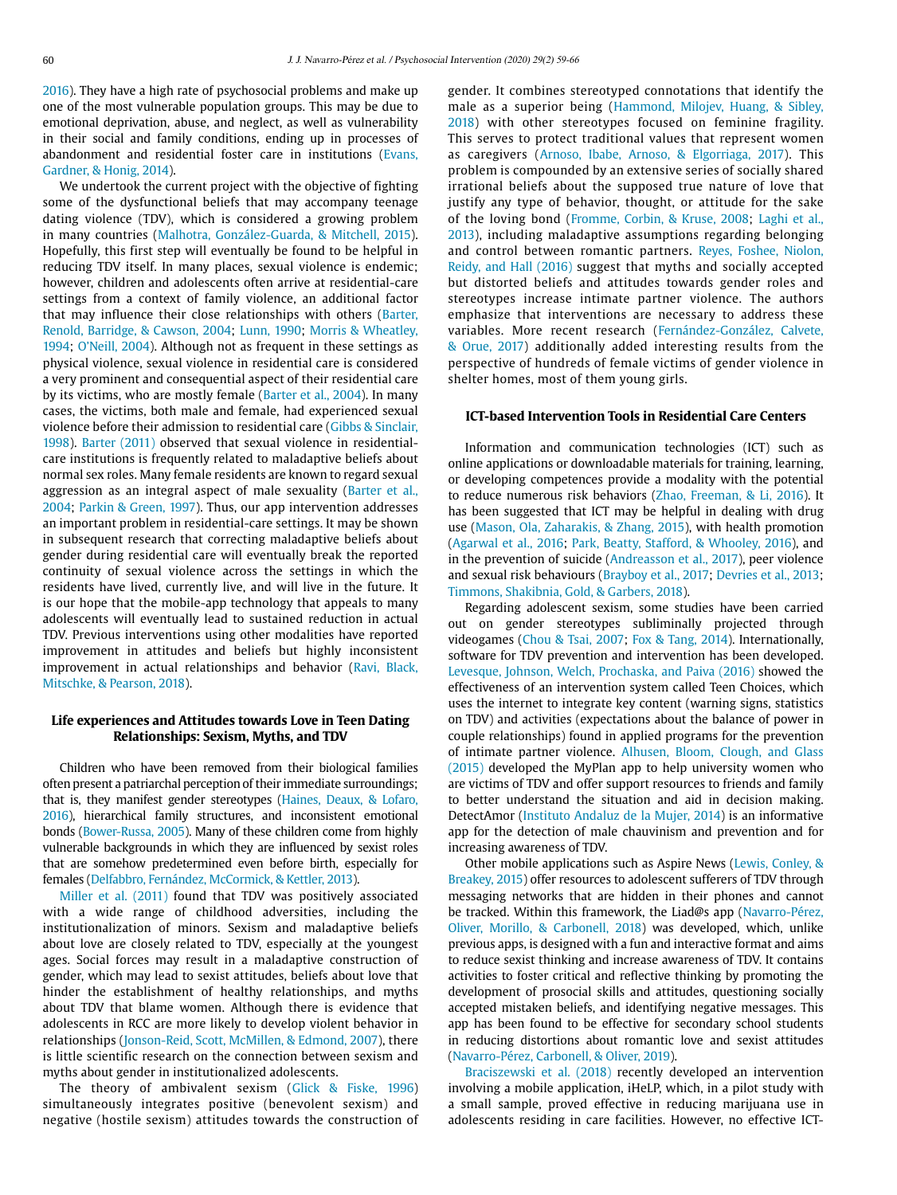2016). They have a high rate of psychosocial problems and make up one of the most vulnerable population groups. This may be due to emotional deprivation, abuse, and neglect, as well as vulnerability in their social and family conditions, ending up in processes of abandonment and residential foster care in institutions (Evans, Gardner, & Honig, 2014).

We undertook the current project with the objective of fighting some of the dysfunctional beliefs that may accompany teenage dating violence (TDV), which is considered a growing problem in many countries (Malhotra, González-Guarda, & Mitchell, 2015). Hopefully, this first step will eventually be found to be helpful in reducing TDV itself. In many places, sexual violence is endemic; however, children and adolescents often arrive at residential-care settings from a context of family violence, an additional factor that may influence their close relationships with others (Barter, Renold, Barridge, & Cawson, 2004; Lunn, 1990; Morris & Wheatley, 1994; O'Neill, 2004). Although not as frequent in these settings as physical violence, sexual violence in residential care is considered a very prominent and consequential aspect of their residential care by its victims, who are mostly female (Barter et al., 2004). In many cases, the victims, both male and female, had experienced sexual violence before their admission to residential care (Gibbs & Sinclair, 1998). Barter (2011) observed that sexual violence in residentialcare institutions is frequently related to maladaptive beliefs about normal sex roles. Many female residents are known to regard sexual aggression as an integral aspect of male sexuality (Barter et al., 2004; Parkin & Green, 1997). Thus, our app intervention addresses an important problem in residential-care settings. It may be shown in subsequent research that correcting maladaptive beliefs about gender during residential care will eventually break the reported continuity of sexual violence across the settings in which the residents have lived, currently live, and will live in the future. It is our hope that the mobile-app technology that appeals to many adolescents will eventually lead to sustained reduction in actual TDV. Previous interventions using other modalities have reported improvement in attitudes and beliefs but highly inconsistent improvement in actual relationships and behavior (Ravi, Black, Mitschke, & Pearson, 2018).

# **Life experiences and Attitudes towards Love in Teen Dating Relationships: Sexism, Myths, and TDV**

Children who have been removed from their biological families often present a patriarchal perception of their immediate surroundings; that is, they manifest gender stereotypes (Haines, Deaux, & Lofaro, 2016), hierarchical family structures, and inconsistent emotional bonds (Bower-Russa, 2005). Many of these children come from highly vulnerable backgrounds in which they are influenced by sexist roles that are somehow predetermined even before birth, especially for females (Delfabbro, Fernández, McCormick, & Kettler, 2013).

Miller et al. (2011) found that TDV was positively associated with a wide range of childhood adversities, including the institutionalization of minors. Sexism and maladaptive beliefs about love are closely related to TDV, especially at the youngest ages. Social forces may result in a maladaptive construction of gender, which may lead to sexist attitudes, beliefs about love that hinder the establishment of healthy relationships, and myths about TDV that blame women. Although there is evidence that adolescents in RCC are more likely to develop violent behavior in relationships (Jonson-Reid, Scott, McMillen, & Edmond, 2007), there is little scientific research on the connection between sexism and myths about gender in institutionalized adolescents.

The theory of ambivalent sexism (Glick & Fiske, 1996) simultaneously integrates positive (benevolent sexism) and negative (hostile sexism) attitudes towards the construction of

gender. It combines stereotyped connotations that identify the male as a superior being (Hammond, Milojev, Huang, & Sibley, 2018) with other stereotypes focused on feminine fragility. This serves to protect traditional values that represent women as caregivers (Arnoso, Ibabe, Arnoso, & Elgorriaga, 2017). This problem is compounded by an extensive series of socially shared irrational beliefs about the supposed true nature of love that justify any type of behavior, thought, or attitude for the sake of the loving bond (Fromme, Corbin, & Kruse, 2008; Laghi et al., 2013), including maladaptive assumptions regarding belonging and control between romantic partners. Reyes, Foshee, Niolon, Reidy, and Hall (2016) suggest that myths and socially accepted but distorted beliefs and attitudes towards gender roles and stereotypes increase intimate partner violence. The authors emphasize that interventions are necessary to address these variables. More recent research (Fernández-González, Calvete, & Orue, 2017) additionally added interesting results from the perspective of hundreds of female victims of gender violence in shelter homes, most of them young girls.

# **ICT-based Intervention Tools in Residential Care Centers**

Information and communication technologies (ICT) such as online applications or downloadable materials for training, learning, or developing competences provide a modality with the potential to reduce numerous risk behaviors (Zhao, Freeman, & Li, 2016). It has been suggested that ICT may be helpful in dealing with drug use (Mason, Ola, Zaharakis, & Zhang, 2015), with health promotion (Agarwal et al., 2016; Park, Beatty, Stafford, & Whooley, 2016), and in the prevention of suicide (Andreasson et al., 2017), peer violence and sexual risk behaviours (Brayboy et al., 2017; Devries et al., 2013; Timmons, Shakibnia, Gold, & Garbers, 2018).

Regarding adolescent sexism, some studies have been carried out on gender stereotypes subliminally projected through videogames (Chou & Tsai, 2007; Fox & Tang, 2014). Internationally, software for TDV prevention and intervention has been developed. Levesque, Johnson, Welch, Prochaska, and Paiva (2016) showed the effectiveness of an intervention system called Teen Choices, which uses the internet to integrate key content (warning signs, statistics on TDV) and activities (expectations about the balance of power in couple relationships) found in applied programs for the prevention of intimate partner violence. Alhusen, Bloom, Clough, and Glass (2015) developed the MyPlan app to help university women who are victims of TDV and offer support resources to friends and family to better understand the situation and aid in decision making. DetectAmor (Instituto Andaluz de la Mujer, 2014) is an informative app for the detection of male chauvinism and prevention and for increasing awareness of TDV.

Other mobile applications such as Aspire News (Lewis, Conley, & Breakey, 2015) offer resources to adolescent sufferers of TDV through messaging networks that are hidden in their phones and cannot be tracked. Within this framework, the Liad@s app (Navarro-Pérez, Oliver, Morillo, & Carbonell, 2018) was developed, which, unlike previous apps, is designed with a fun and interactive format and aims to reduce sexist thinking and increase awareness of TDV. It contains activities to foster critical and reflective thinking by promoting the development of prosocial skills and attitudes, questioning socially accepted mistaken beliefs, and identifying negative messages. This app has been found to be effective for secondary school students in reducing distortions about romantic love and sexist attitudes (Navarro-Pérez, Carbonell, & Oliver, 2019).

Braciszewski et al. (2018) recently developed an intervention involving a mobile application, iHeLP, which, in a pilot study with a small sample, proved effective in reducing marijuana use in adolescents residing in care facilities. However, no effective ICT-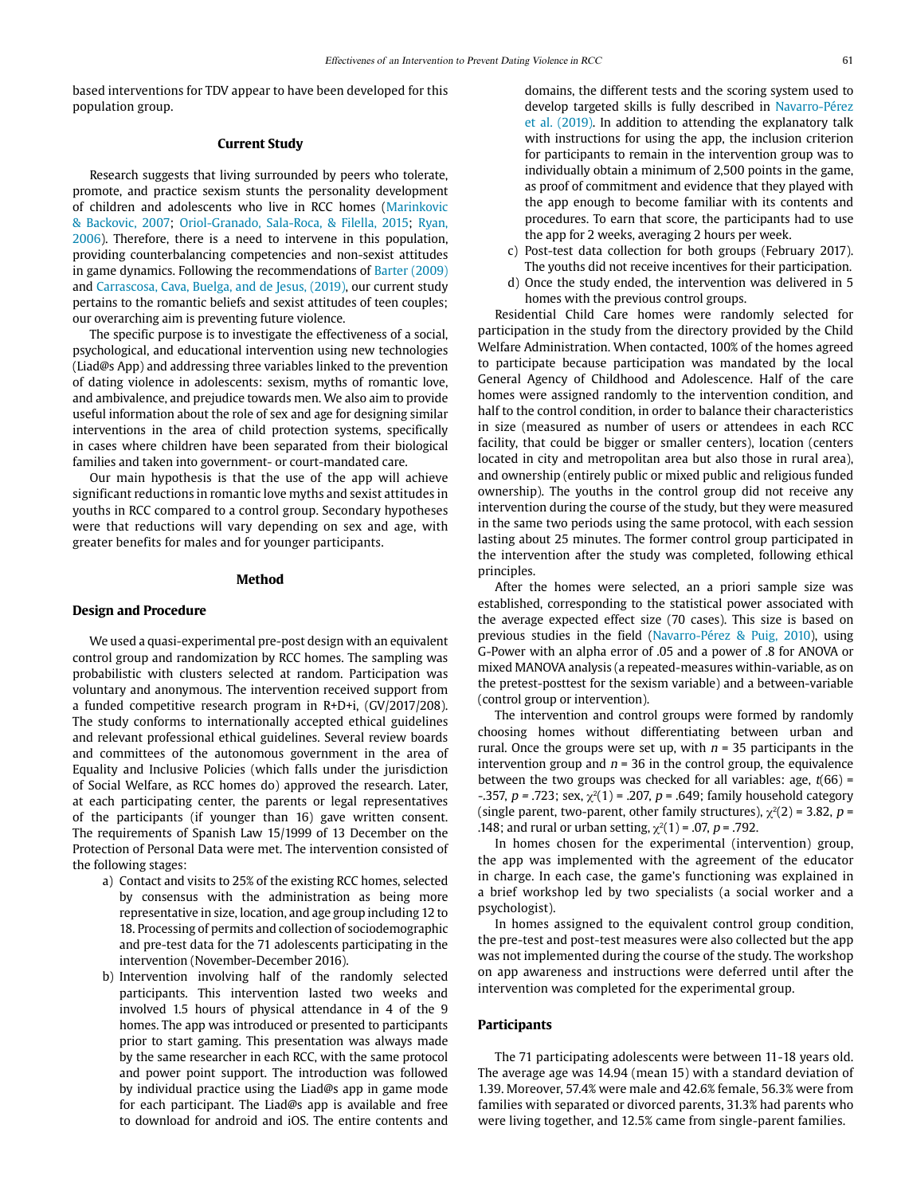based interventions for TDV appear to have been developed for this population group.

# **Current Study**

Research suggests that living surrounded by peers who tolerate, promote, and practice sexism stunts the personality development of children and adolescents who live in RCC homes (Marinkovic & Backovic, 2007; Oriol-Granado, Sala-Roca, & Filella, 2015; Ryan, 2006). Therefore, there is a need to intervene in this population, providing counterbalancing competencies and non-sexist attitudes in game dynamics. Following the recommendations of Barter (2009) and Carrascosa, Cava, Buelga, and de Jesus, (2019), our current study pertains to the romantic beliefs and sexist attitudes of teen couples; our overarching aim is preventing future violence.

The specific purpose is to investigate the effectiveness of a social, psychological, and educational intervention using new technologies (Liad@s App) and addressing three variables linked to the prevention of dating violence in adolescents: sexism, myths of romantic love, and ambivalence, and prejudice towards men. We also aim to provide useful information about the role of sex and age for designing similar interventions in the area of child protection systems, specifically in cases where children have been separated from their biological families and taken into government- or court-mandated care.

Our main hypothesis is that the use of the app will achieve significant reductions in romantic love myths and sexist attitudes in youths in RCC compared to a control group. Secondary hypotheses were that reductions will vary depending on sex and age, with greater benefits for males and for younger participants.

#### **Method**

## **Design and Procedure**

We used a quasi-experimental pre-post design with an equivalent control group and randomization by RCC homes. The sampling was probabilistic with clusters selected at random. Participation was voluntary and anonymous. The intervention received support from a funded competitive research program in R+D+i, (GV/2017/208). The study conforms to internationally accepted ethical guidelines and relevant professional ethical guidelines. Several review boards and committees of the autonomous government in the area of Equality and Inclusive Policies (which falls under the jurisdiction of Social Welfare, as RCC homes do) approved the research. Later, at each participating center, the parents or legal representatives of the participants (if younger than 16) gave written consent. The requirements of Spanish Law 15/1999 of 13 December on the Protection of Personal Data were met. The intervention consisted of the following stages:

- a) Contact and visits to 25% of the existing RCC homes, selected by consensus with the administration as being more representative in size, location, and age group including 12 to 18. Processing of permits and collection of sociodemographic and pre-test data for the 71 adolescents participating in the intervention (November-December 2016).
- b) Intervention involving half of the randomly selected participants. This intervention lasted two weeks and involved 1.5 hours of physical attendance in 4 of the 9 homes. The app was introduced or presented to participants prior to start gaming. This presentation was always made by the same researcher in each RCC, with the same protocol and power point support. The introduction was followed by individual practice using the Liad@s app in game mode for each participant. The Liad@s app is available and free to download for android and iOS. The entire contents and

domains, the different tests and the scoring system used to develop targeted skills is fully described in Navarro-Pérez et al. (2019). In addition to attending the explanatory talk with instructions for using the app, the inclusion criterion for participants to remain in the intervention group was to individually obtain a minimum of 2,500 points in the game, as proof of commitment and evidence that they played with the app enough to become familiar with its contents and procedures. To earn that score, the participants had to use the app for 2 weeks, averaging 2 hours per week.

- c) Post-test data collection for both groups (February 2017). The youths did not receive incentives for their participation.
- d) Once the study ended, the intervention was delivered in 5 homes with the previous control groups.

Residential Child Care homes were randomly selected for participation in the study from the directory provided by the Child Welfare Administration. When contacted, 100% of the homes agreed to participate because participation was mandated by the local General Agency of Childhood and Adolescence. Half of the care homes were assigned randomly to the intervention condition, and half to the control condition, in order to balance their characteristics in size (measured as number of users or attendees in each RCC facility, that could be bigger or smaller centers), location (centers located in city and metropolitan area but also those in rural area), and ownership (entirely public or mixed public and religious funded ownership). The youths in the control group did not receive any intervention during the course of the study, but they were measured in the same two periods using the same protocol, with each session lasting about 25 minutes. The former control group participated in the intervention after the study was completed, following ethical principles.

After the homes were selected, an a priori sample size was established, corresponding to the statistical power associated with the average expected effect size (70 cases). This size is based on previous studies in the field (Navarro-Pérez & Puig, 2010), using G-Power with an alpha error of .05 and a power of .8 for ANOVA or mixed MANOVA analysis (a repeated-measures within-variable, as on the pretest-posttest for the sexism variable) and a between-variable (control group or intervention).

The intervention and control groups were formed by randomly choosing homes without differentiating between urban and rural. Once the groups were set up, with  $n = 35$  participants in the intervention group and  $n = 36$  in the control group, the equivalence between the two groups was checked for all variables: age,  $t(66)$  = -.357,  $p = 0.723$ ; sex,  $\chi^2(1) = 0.207$ ,  $p = 0.649$ ; family household category (single parent, two-parent, other family structures),  $\chi^2(2)$  = 3.82, p = .148; and rural or urban setting,  $\chi^2(1)$  = .07, p = .792.

In homes chosen for the experimental (intervention) group, the app was implemented with the agreement of the educator in charge. In each case, the game's functioning was explained in a brief workshop led by two specialists (a social worker and a psychologist).

In homes assigned to the equivalent control group condition, the pre-test and post-test measures were also collected but the app was not implemented during the course of the study. The workshop on app awareness and instructions were deferred until after the intervention was completed for the experimental group.

# **Participants**

The 71 participating adolescents were between 11-18 years old. The average age was 14.94 (mean 15) with a standard deviation of 1.39. Moreover, 57.4% were male and 42.6% female, 56.3% were from families with separated or divorced parents, 31.3% had parents who were living together, and 12.5% came from single-parent families.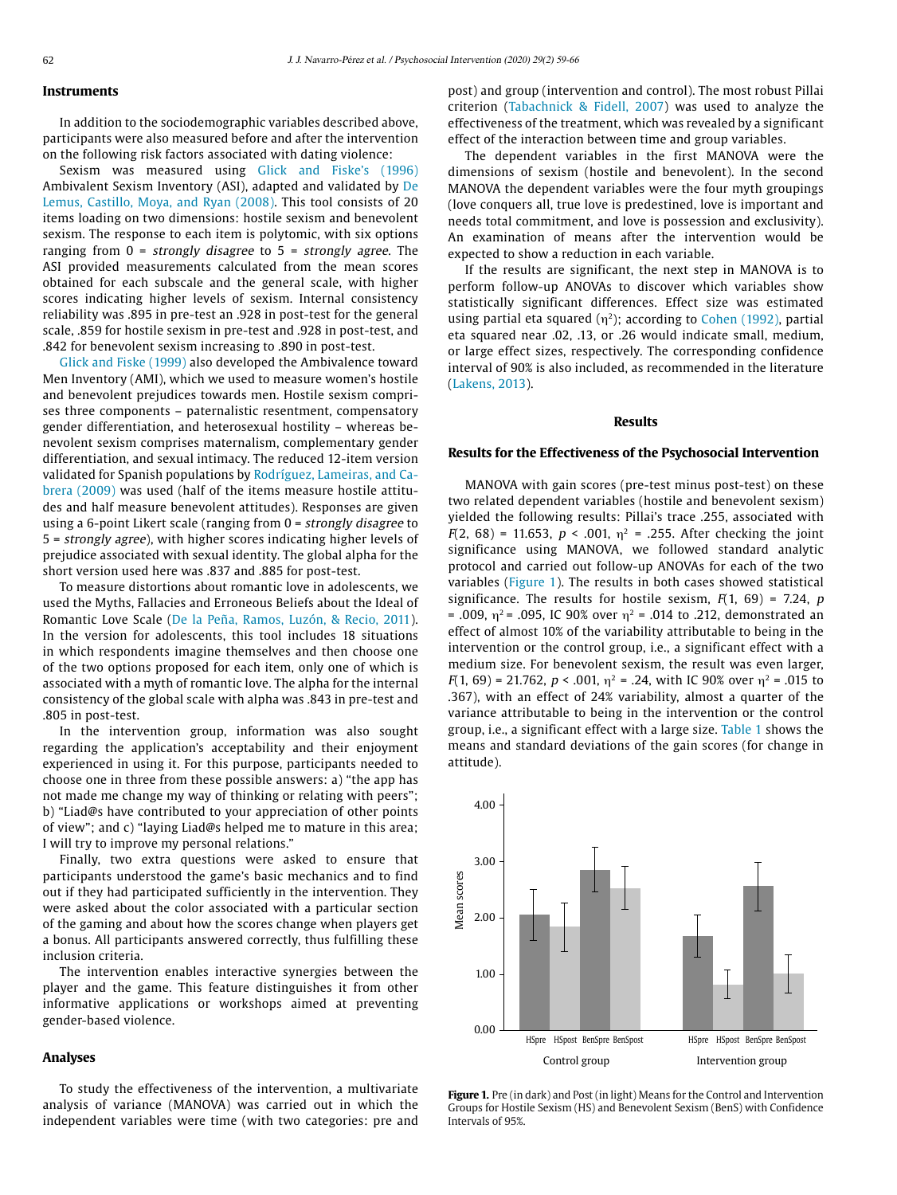# **Instruments**

In addition to the sociodemographic variables described above, participants were also measured before and after the intervention on the following risk factors associated with dating violence:

Sexism was measured using Glick and Fiske's (1996) Ambivalent Sexism Inventory (ASI), adapted and validated by De Lemus, Castillo, Moya, and Ryan (2008). This tool consists of 20 items loading on two dimensions: hostile sexism and benevolent sexism. The response to each item is polytomic, with six options ranging from  $0 =$  strongly disagree to  $5 =$  strongly agree. The ASI provided measurements calculated from the mean scores obtained for each subscale and the general scale, with higher scores indicating higher levels of sexism. Internal consistency reliability was .895 in pre-test an .928 in post-test for the general scale, .859 for hostile sexism in pre-test and .928 in post-test, and .842 for benevolent sexism increasing to .890 in post-test.

Glick and Fiske (1999) also developed the Ambivalence toward Men Inventory (AMI), which we used to measure women's hostile and benevolent prejudices towards men. Hostile sexism comprises three components – paternalistic resentment, compensatory gender differentiation, and heterosexual hostility – whereas benevolent sexism comprises maternalism, complementary gender differentiation, and sexual intimacy. The reduced 12-item version validated for Spanish populations by Rodríguez, Lameiras, and Cabrera (2009) was used (half of the items measure hostile attitudes and half measure benevolent attitudes). Responses are given using a 6-point Likert scale (ranging from 0 = strongly disagree to 5 = strongly agree), with higher scores indicating higher levels of prejudice associated with sexual identity. The global alpha for the short version used here was .837 and .885 for post-test.

To measure distortions about romantic love in adolescents, we used the Myths, Fallacies and Erroneous Beliefs about the Ideal of Romantic Love Scale (De la Peña, Ramos, Luzón, & Recio, 2011). In the version for adolescents, this tool includes 18 situations in which respondents imagine themselves and then choose one of the two options proposed for each item, only one of which is associated with a myth of romantic love. The alpha for the internal consistency of the global scale with alpha was .843 in pre-test and .805 in post-test.

In the intervention group, information was also sought regarding the application's acceptability and their enjoyment experienced in using it. For this purpose, participants needed to choose one in three from these possible answers: a) "the app has not made me change my way of thinking or relating with peers"; b) "Liad@s have contributed to your appreciation of other points of view"; and c) "laying Liad@s helped me to mature in this area; I will try to improve my personal relations."

Finally, two extra questions were asked to ensure that participants understood the game's basic mechanics and to find out if they had participated sufficiently in the intervention. They were asked about the color associated with a particular section of the gaming and about how the scores change when players get a bonus. All participants answered correctly, thus fulfilling these inclusion criteria.

The intervention enables interactive synergies between the player and the game. This feature distinguishes it from other informative applications or workshops aimed at preventing gender-based violence.

#### **Analyses**

To study the effectiveness of the intervention, a multivariate analysis of variance (MANOVA) was carried out in which the independent variables were time (with two categories: pre and post) and group (intervention and control). The most robust Pillai criterion (Tabachnick & Fidell, 2007) was used to analyze the effectiveness of the treatment, which was revealed by a significant effect of the interaction between time and group variables.

The dependent variables in the first MANOVA were the dimensions of sexism (hostile and benevolent). In the second MANOVA the dependent variables were the four myth groupings (love conquers all, true love is predestined, love is important and needs total commitment, and love is possession and exclusivity). An examination of means after the intervention would be expected to show a reduction in each variable.

If the results are significant, the next step in MANOVA is to perform follow-up ANOVAs to discover which variables show statistically significant differences. Effect size was estimated using partial eta squared  $(\eta^2)$ ; according to Cohen (1992), partial eta squared near .02, .13, or .26 would indicate small, medium, or large effect sizes, respectively. The corresponding confidence interval of 90% is also included, as recommended in the literature (Lakens, 2013).

## **Results**

#### **Results for the Effectiveness of the Psychosocial Intervention**

MANOVA with gain scores (pre-test minus post-test) on these two related dependent variables (hostile and benevolent sexism) yielded the following results: Pillai's trace .255, associated with  $F(2, 68) = 11.653$ ,  $p < .001$ ,  $\eta^2 = .255$ . After checking the joint significance using MANOVA, we followed standard analytic protocol and carried out follow-up ANOVAs for each of the two variables (Figure 1). The results in both cases showed statistical significance. The results for hostile sexism,  $F(1, 69) = 7.24$ ,  $p$ = .009,  $\eta^2$  = .095, IC 90% over  $\eta^2$  = .014 to .212, demonstrated an effect of almost 10% of the variability attributable to being in the intervention or the control group, i.e., a significant effect with a medium size. For benevolent sexism, the result was even larger,  $F(1, 69) = 21.762$ ,  $p < .001$ ,  $n^2 = .24$ , with IC 90% over  $n^2 = .015$  to .367), with an effect of 24% variability, almost a quarter of the variance attributable to being in the intervention or the control group, i.e., a significant effect with a large size. Table 1 shows the means and standard deviations of the gain scores (for change in attitude).



**Figure 1.** Pre (in dark) and Post (in light) Means for the Control and Intervention Groups for Hostile Sexism (HS) and Benevolent Sexism (BenS) with Confidence Intervals of 95%.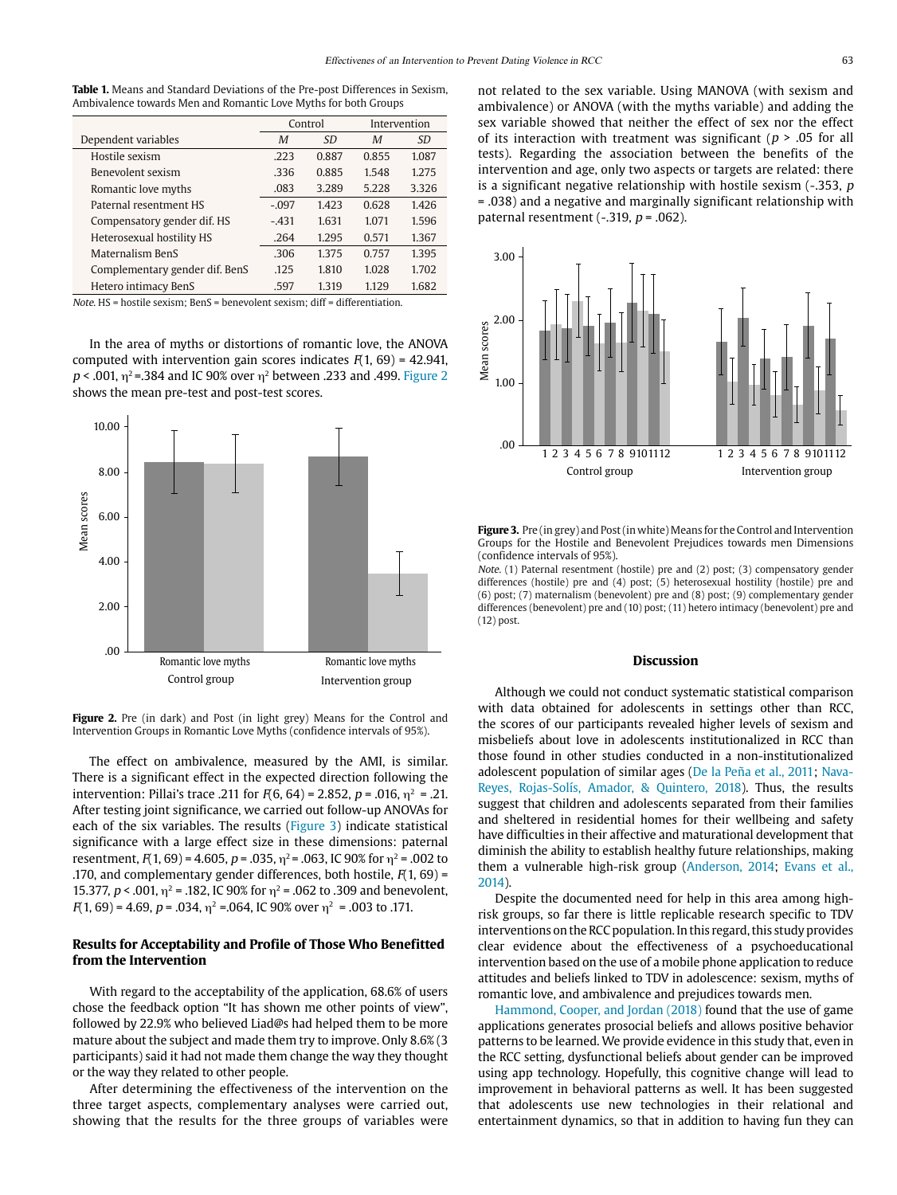**Table 1.** Means and Standard Deviations of the Pre-post Differences in Sexism, Ambivalence towards Men and Romantic Love Myths for both Groups

|                                | Control |           | Intervention |           |
|--------------------------------|---------|-----------|--------------|-----------|
| Dependent variables            | M       | <i>SD</i> | M            | <i>SD</i> |
| Hostile sexism                 | .223    | 0.887     | 0.855        | 1.087     |
| Benevolent sexism              | .336    | 0.885     | 1.548        | 1.275     |
| Romantic love myths            | .083    | 3.289     | 5.228        | 3.326     |
| Paternal resentment HS         | $-.097$ | 1.423     | 0.628        | 1.426     |
| Compensatory gender dif. HS    | $-431$  | 1.631     | 1.071        | 1.596     |
| Heterosexual hostility HS      | .264    | 1.295     | 0.571        | 1.367     |
| Maternalism BenS               | .306    | 1.375     | 0.757        | 1.395     |
| Complementary gender dif. BenS | .125    | 1.810     | 1.028        | 1.702     |
| Hetero intimacy BenS           | .597    | 1.319     | 1.129        | 1.682     |

Note. HS = hostile sexism; BenS = benevolent sexism; diff = differentiation.

In the area of myths or distortions of romantic love, the ANOVA computed with intervention gain scores indicates  $F(1, 69) = 42.941$ ,  $p$  < .001, η<sup>2</sup> = .384 and IC 90% over η<sup>2</sup> between .233 and .499. Figure 2 shows the mean pre-test and post-test scores.



Figure 2. Pre (in dark) and Post (in light grey) Means for the Control and Intervention Groups in Romantic Love Myths (confidence intervals of 95%).

The effect on ambivalence, measured by the AMI, is similar. There is a significant effect in the expected direction following the intervention: Pillai's trace .211 for  $F(6, 64) = 2.852$ ,  $p = .016$ ,  $\eta^2 = .21$ . After testing joint significance, we carried out follow-up ANOVAs for each of the six variables. The results (Figure 3) indicate statistical significance with a large effect size in these dimensions: paternal resentment,  $F(1, 69) = 4.605$ ,  $p = .035$ ,  $n^2 = .063$ , IC 90% for  $n^2 = .002$  to .170, and complementary gender differences, both hostile,  $F(1, 69)$  = 15.377,  $p < .001$ ,  $\eta^2 = .182$ , IC 90% for  $\eta^2 = .062$  to .309 and benevolent,  $F(1, 69) = 4.69$ ,  $p = .034$ ,  $\eta^2 = .064$ , IC 90% over  $\eta^2 = .003$  to .171.

# **Results for Acceptability and Profile of Those Who Benefitted from the Intervention**

With regard to the acceptability of the application, 68.6% of users chose the feedback option "It has shown me other points of view", followed by 22.9% who believed Liad@s had helped them to be more mature about the subject and made them try to improve. Only 8.6% (3 participants) said it had not made them change the way they thought or the way they related to other people.

After determining the effectiveness of the intervention on the three target aspects, complementary analyses were carried out, showing that the results for the three groups of variables were not related to the sex variable. Using MANOVA (with sexism and ambivalence) or ANOVA (with the myths variable) and adding the sex variable showed that neither the effect of sex nor the effect of its interaction with treatment was significant ( $p > .05$  for all tests). Regarding the association between the benefits of the intervention and age, only two aspects or targets are related: there is a significant negative relationship with hostile sexism  $(-353, p)$ = .038) and a negative and marginally significant relationship with paternal resentment (-.319,  $p = .062$ ).



**Figure 3.** Pre (in grey) and Post (in white) Means for the Control and Intervention Groups for the Hostile and Benevolent Prejudices towards men Dimensions (confidence intervals of 95%).

Note. (1) Paternal resentment (hostile) pre and (2) post; (3) compensatory gender differences (hostile) pre and (4) post; (5) heterosexual hostility (hostile) pre and (6) post; (7) maternalism (benevolent) pre and (8) post; (9) complementary gender differences (benevolent) pre and (10) post; (11) hetero intimacy (benevolent) pre and (12) post.

#### **Discussion**

Although we could not conduct systematic statistical comparison with data obtained for adolescents in settings other than RCC, the scores of our participants revealed higher levels of sexism and misbeliefs about love in adolescents institutionalized in RCC than those found in other studies conducted in a non-institutionalized adolescent population of similar ages (De la Peña et al., 2011; Nava-Reyes, Rojas-Solís, Amador, & Quintero, 2018). Thus, the results suggest that children and adolescents separated from their families and sheltered in residential homes for their wellbeing and safety have difficulties in their affective and maturational development that diminish the ability to establish healthy future relationships, making them a vulnerable high-risk group (Anderson, 2014; Evans et al., 2014).

Despite the documented need for help in this area among highrisk groups, so far there is little replicable research specific to TDV interventions on the RCC population. In this regard, this study provides clear evidence about the effectiveness of a psychoeducational intervention based on the use of a mobile phone application to reduce attitudes and beliefs linked to TDV in adolescence: sexism, myths of romantic love, and ambivalence and prejudices towards men.

Hammond, Cooper, and Jordan (2018) found that the use of game applications generates prosocial beliefs and allows positive behavior patterns to be learned. We provide evidence in this study that, even in the RCC setting, dysfunctional beliefs about gender can be improved using app technology. Hopefully, this cognitive change will lead to improvement in behavioral patterns as well. It has been suggested that adolescents use new technologies in their relational and entertainment dynamics, so that in addition to having fun they can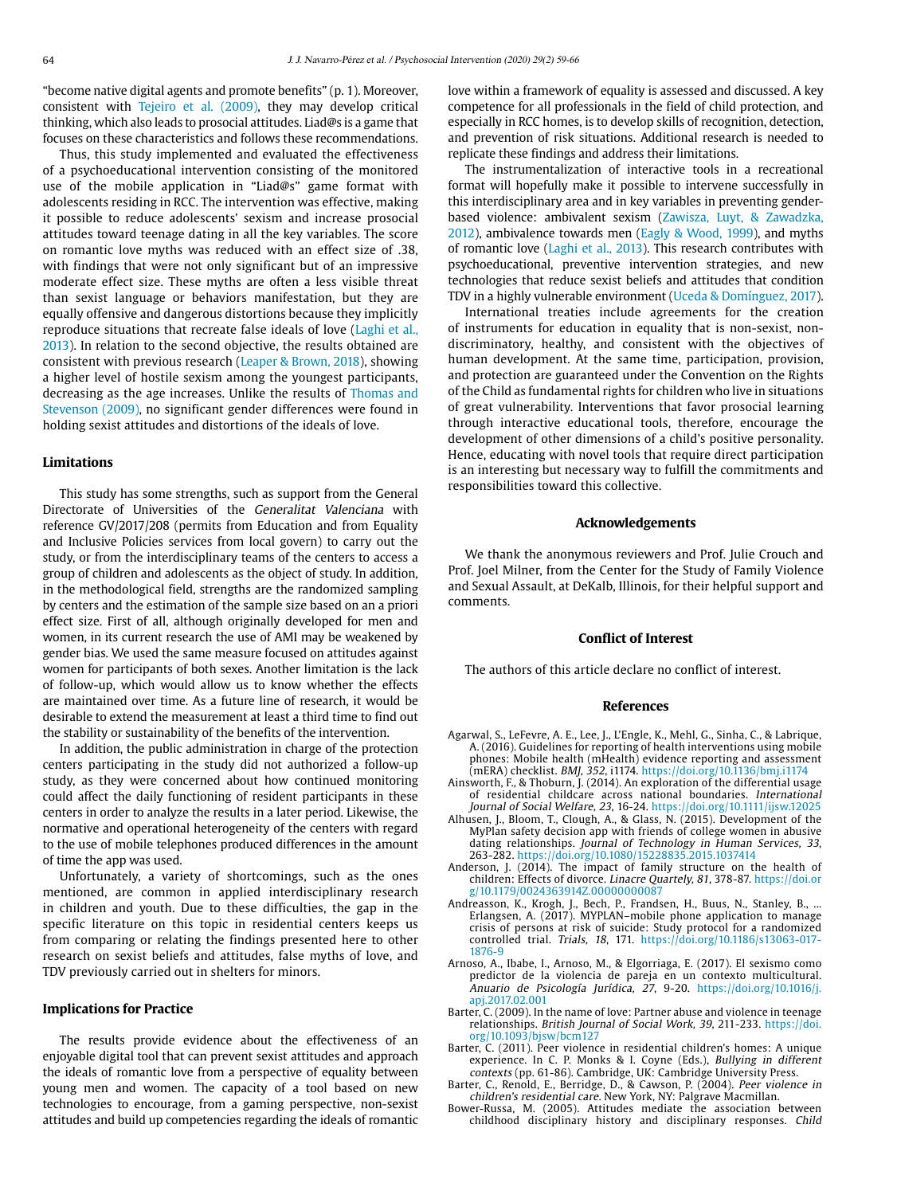"become native digital agents and promote benefits" (p. 1). Moreover, consistent with Tejeiro et al. (2009), they may develop critical thinking, which also leads to prosocial attitudes. Liad@s is a game that focuses on these characteristics and follows these recommendations.

Thus, this study implemented and evaluated the effectiveness of a psychoeducational intervention consisting of the monitored use of the mobile application in "Liad@s" game format with adolescents residing in RCC. The intervention was effective, making it possible to reduce adolescents' sexism and increase prosocial attitudes toward teenage dating in all the key variables. The score on romantic love myths was reduced with an effect size of .38, with findings that were not only significant but of an impressive moderate effect size. These myths are often a less visible threat than sexist language or behaviors manifestation, but they are equally offensive and dangerous distortions because they implicitly reproduce situations that recreate false ideals of love (Laghi et al., 2013). In relation to the second objective, the results obtained are consistent with previous research (Leaper & Brown, 2018), showing a higher level of hostile sexism among the youngest participants, decreasing as the age increases. Unlike the results of Thomas and Stevenson (2009), no significant gender differences were found in holding sexist attitudes and distortions of the ideals of love.

#### **Limitations**

This study has some strengths, such as support from the General Directorate of Universities of the Generalitat Valenciana with reference GV/2017/208 (permits from Education and from Equality and Inclusive Policies services from local govern) to carry out the study, or from the interdisciplinary teams of the centers to access a group of children and adolescents as the object of study. In addition, in the methodological field, strengths are the randomized sampling by centers and the estimation of the sample size based on an a priori effect size. First of all, although originally developed for men and women, in its current research the use of AMI may be weakened by gender bias. We used the same measure focused on attitudes against women for participants of both sexes. Another limitation is the lack of follow-up, which would allow us to know whether the effects are maintained over time. As a future line of research, it would be desirable to extend the measurement at least a third time to find out the stability or sustainability of the benefits of the intervention.

In addition, the public administration in charge of the protection centers participating in the study did not authorized a follow-up study, as they were concerned about how continued monitoring could affect the daily functioning of resident participants in these centers in order to analyze the results in a later period. Likewise, the normative and operational heterogeneity of the centers with regard to the use of mobile telephones produced differences in the amount of time the app was used.

Unfortunately, a variety of shortcomings, such as the ones mentioned, are common in applied interdisciplinary research in children and youth. Due to these difficulties, the gap in the specific literature on this topic in residential centers keeps us from comparing or relating the findings presented here to other research on sexist beliefs and attitudes, false myths of love, and TDV previously carried out in shelters for minors.

# **Implications for Practice**

The results provide evidence about the effectiveness of an enjoyable digital tool that can prevent sexist attitudes and approach the ideals of romantic love from a perspective of equality between young men and women. The capacity of a tool based on new technologies to encourage, from a gaming perspective, non-sexist attitudes and build up competencies regarding the ideals of romantic love within a framework of equality is assessed and discussed. A key competence for all professionals in the field of child protection, and especially in RCC homes, is to develop skills of recognition, detection, and prevention of risk situations. Additional research is needed to replicate these findings and address their limitations.

The instrumentalization of interactive tools in a recreational format will hopefully make it possible to intervene successfully in this interdisciplinary area and in key variables in preventing genderbased violence: ambivalent sexism (Zawisza, Luyt, & Zawadzka, 2012), ambivalence towards men (Eagly & Wood, 1999), and myths of romantic love (Laghi et al., 2013). This research contributes with psychoeducational, preventive intervention strategies, and new technologies that reduce sexist beliefs and attitudes that condition TDV in a highly vulnerable environment (Uceda & Domínguez, 2017).

International treaties include agreements for the creation of instruments for education in equality that is non-sexist, nondiscriminatory, healthy, and consistent with the objectives of human development. At the same time, participation, provision, and protection are guaranteed under the Convention on the Rights of the Child as fundamental rights for children who live in situations of great vulnerability. Interventions that favor prosocial learning through interactive educational tools, therefore, encourage the development of other dimensions of a child's positive personality. Hence, educating with novel tools that require direct participation is an interesting but necessary way to fulfill the commitments and responsibilities toward this collective.

## **Acknowledgements**

We thank the anonymous reviewers and Prof. Julie Crouch and Prof. Joel Milner, from the Center for the Study of Family Violence and Sexual Assault, at DeKalb, Illinois, for their helpful support and comments.

#### **Conflict of Interest**

The authors of this article declare no conflict of interest.

#### **References**

- Agarwal, S., LeFevre, A. E., Lee, J., L'Engle, K., Mehl, G., Sinha, C., & Labrique, A. (2016). Guidelines for reporting of health interventions using mobile phones: Mobile health (mHealth) evidence reporting and assessment (mERA) checklist. BMJ, 352, i1174.<https://doi.org/10.1136/bmj.i1174>
- Ainsworth, F., & Thoburn, J. (2014). An exploration of the differential usage of residential childcare across national boundaries. International Journal of Social Welfare, 23, 16-24. <https://doi.org/10.1111/ijsw.12025>
- Alhusen, J., Bloom, T., Clough, A., & Glass, N. (2015). Development of the MyPlan safety decision app with friends of college women in abusive dating relationships. Journal of Technology in Human Services, 33,<br>263-282. <https://doi.org/10.1080/15228835.2015.1037414>
- Anderson, J. (2014). The impact of family structure on the health of children: Effects of divorce. Linacre Quartely, 81, 378-87. [https://doi.or](https://doi.org/10.1179/0024363914Z.00000000087) [g/10.1179/0024363914Z.00000000087](https://doi.org/10.1179/0024363914Z.00000000087)
- Andreasson, K., Krogh, J., Bech, P., Frandsen, H., Buus, N., Stanley, B., ... Erlangsen, A. (2017). MYPLAN–mobile phone application to manage crisis of persons at risk of suicide: Study protocol for a randomized controlled trial. Trials, 18, 171. [https://doi.org/10.1186/s13063-017-](https://doi.org/10.1186 / s13063-017-1876-9) [1876-9](https://doi.org/10.1186 / s13063-017-1876-9)
- Arnoso, A., Ibabe, I., Arnoso, M., & Elgorriaga, E. (2017). El sexismo como predictor de la violencia de pareja en un contexto multicultural. Anuario de Psicología Jurídica, 27, 9-20. [https://doi.org/10.1016/j.](https://doi.org/10.1016/j.apj.2017.02.001) [apj.2017.02.001](https://doi.org/10.1016/j.apj.2017.02.001)
- Barter, C. (2009). In the name of love: Partner abuse and violence in teenage relationships. British Journal of Social Work, 39, 211-233. [https://doi.](https://doi.org/10.1093/bjsw/bcm127) [org/10.1093/bjsw/bcm127](https://doi.org/10.1093/bjsw/bcm127)
- Barter, C. (2011). Peer violence in residential children's homes: A unique experience. In C. P. Monks & I. Coyne (Eds.), Bullying in different contexts (pp. 61-86). Cambridge, UK: Cambridge University Press.
- Barter, C., Renold, E., Berridge, D., & Cawson, P. (2004). Peer violence in children's residential care. New York, NY: Palgrave Macmillan.
- Bower-Russa, M. (2005). Attitudes mediate the association between childhood disciplinary history and disciplinary responses. Child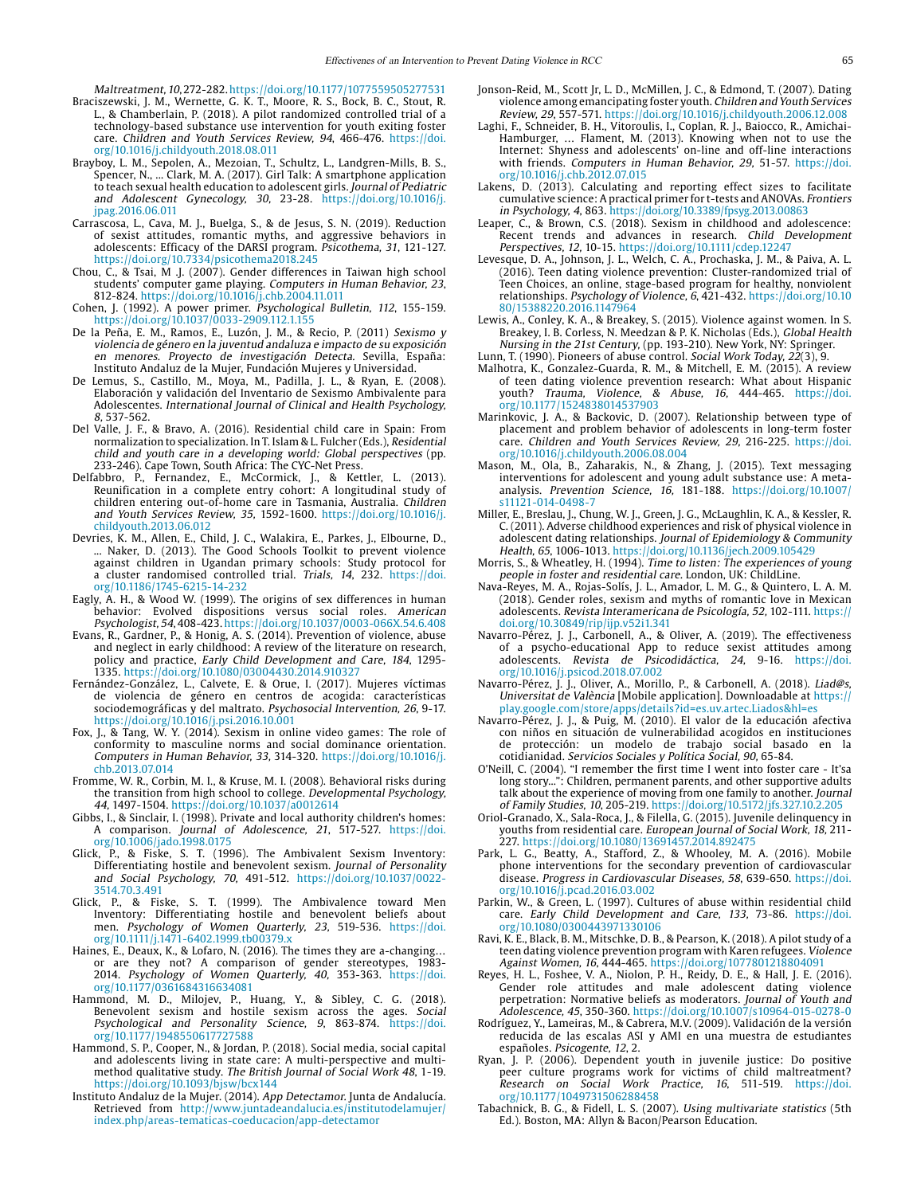Maltreatment, 10, 272-282.<https://doi.org/10.1177/1077559505277531>

- Braciszewski, J. M., Wernette, G. K. T., Moore, R. S., Bock, B. C., Stout, R. L., & Chamberlain, P. (2018). A pilot randomized controlled trial of a technology-based substance use intervention for youth exiting foster care. Children and Youth Services Review, 94, 466-476. [https://doi.](https://doi.org/10.1016/j.childyouth.2018.08.011) [org/10.1016/j.childyouth.2018.08.011](https://doi.org/10.1016/j.childyouth.2018.08.011)
- Brayboy, L. M., Sepolen, A., Mezoian, T., Schultz, L., Landgren-Mills, B. S., Spencer, N., ... Clark, M. A. (2017). Girl Talk: A smartphone application to teach sexual health education to adolescent girls. Journal of Pediatric and Adolescent Gynecology, 30, 23-28. [https://doi.org/10.1016/j.](https://doi.org/10.1016/j.jpag.2016.06.011) [jpag.2016.06.011](https://doi.org/10.1016/j.jpag.2016.06.011)
- Carrascosa, L., Cava, M. J., Buelga, S., & de Jesus, S. N. (2019). Reduction of sexist attitudes, romantic myths, and aggressive behaviors in adolescents: Efficacy of the DARSI program. Psicothema, 31, 121-127. <https://doi.org/10.7334/psicothema2018.245>
- Chou, C., & Tsai, M .J. (2007). Gender differences in Taiwan high school students' computer game playing. Computers in Human Behavior, 23, 812-824.<https://doi.org/10.1016/j.chb.2004.11.011>
- Cohen, J. (1992). A power primer. Psychological Bulletin, 112, 155-159. https://doi.org/[10.1037/0033-2909.112.1.155](http://dx.doi.org/10.1037/0033-2909.112.1.155)
- De la Peña, E. M., Ramos, E., Luzón, J. M., & Recio, P. (2011) Sexismo y violencia de género en la juventud andaluza e impacto de su exposición en menores. Proyecto de investigación Detecta. Sevilla, España: Instituto Andaluz de la Mujer, Fundación Mujeres y Universidad.
- De Lemus, S., Castillo, M., Moya, M., Padilla, J. L., & Ryan, E. (2008). Elaboración y validación del Inventario de Sexismo Ambivalente para Adolescentes. International Journal of Clinical and Health Psychology, 8, 537-562.
- Del Valle, J. F., & Bravo, A. (2016). Residential child care in Spain: From normalization to specialization. In T. Islam & L. Fulcher (Eds.), Residential child and youth care in a developing world: Global perspectives (pp. 233-246). Cape Town, South Africa: The CYC-Net Press.
- Delfabbro, P., Fernandez, E., McCormick, J., & Kettler, L. (2013). Reunification in a complete entry cohort: A longitudinal study of children entering out-of-home care in Tasmania, Australia. Children and Youth Services Review, 35, 1592-1600. [https://doi.org/10.1016/j.](https://doi.org/10.1016/j.childyouth.2013.06.012) [childyouth.2013.06.012](https://doi.org/10.1016/j.childyouth.2013.06.012)
- Devries, K. M., Allen, E., Child, J. C., Walakira, E., Parkes, J., Elbourne, D., ... Naker, D. (2013). The Good Schools Toolkit to prevent violence against children in Ugandan primary schools: Study protocol for a cluster randomised controlled trial. Trials, 14, 232. [https://doi.](https://doi.org/10.1186/1745-6215-14-232) [org/10.1186/1745-6215-14-232](https://doi.org/10.1186/1745-6215-14-232)
- Eagly, A. H., & Wood W. (1999). The origins of sex differences in human behavior: Evolved dispositions versus social roles. American Psychologist, 54, 408-423.<https://doi.org/10.1037/0003-066X.54.6.408>
- Evans, R., Gardner, P., & Honig, A. S. (2014). Prevention of violence, abuse and neglect in early childhood: A review of the literature on research, policy and practice, Early Child Development and Care, 184, 1295- 1335.<https://doi.org/10.1080/03004430.2014.910327>
- Fernández-González, L., Calvete, E. & Orue, I. (2017). Mujeres víctimas de violencia de género en centros de acogida: características sociodemográficas y del maltrato. Psychosocial Intervention, 26, 9-17. <https://doi.org/10.1016/j.psi.2016.10.001>
- Fox, J., & Tang, W. Y. (2014). Sexism in online video games: The role of conformity to masculine norms and social dominance orientation. Computers in Human Behavior, 33, 314-320. [https://doi.org/10.1016/j.](https://doi.org/10.1016/j.chb.2013.07.014) [chb.2013.07.014](https://doi.org/10.1016/j.chb.2013.07.014)
- Fromme, W. R., Corbin, M. I., & Kruse, M. I. (2008). Behavioral risks during the transition from high school to college. Developmental Psychology, 44, 1497-1504. <https://doi.org/10.1037/a0012614>
- Gibbs, I., & Sinclair, I. (1998). Private and local authority children's homes: A comparison. Journal of Adolescence, 21, 517-527. [https://doi.](https://doi.org/10.1006/jado.1998.0175) [org/10.1006/jado.1998.0175](https://doi.org/10.1006/jado.1998.0175)
- Glick, P., & Fiske, S. T. (1996). The Ambivalent Sexism Inventory: Differentiating hostile and benevolent sexism. Journal of Personality and Social Psychology, 70, 491-512. [https://doi.org/10.1037/0022-](https://doi.org/10.1037/0022-3514.70.3.491) [3514.70.3.491](https://doi.org/10.1037/0022-3514.70.3.491)
- Glick, P., & Fiske, S. T. (1999). The Ambivalence toward Men Inventory: Differentiating hostile and benevolent beliefs about men. Psychology of Women Quarterly, 23, 519-536. [https://doi.](https://doi.org/10.1111/j.1471-6402.1999.tb00379.x) [org/10.1111/j.1471-6402.1999.tb00379.x](https://doi.org/10.1111/j.1471-6402.1999.tb00379.x)
- Haines, E., Deaux, K., & Lofaro, N. (2016). The times they are a-changing… or are they not? A comparison of gender stereotypes, 1983- 2014. Psychology of Women Quarterly, 40, 353-363. [https://doi.](https://doi.org/10.1177/0361684316634081) [org/10.1177/0361684316634081](https://doi.org/10.1177/0361684316634081)
- Hammond, M. D., Milojev, P., Huang, Y., & Sibley, C. G. (2018). Benevolent sexism and hostile sexism across the ages. Social Psychological and Personality Science, 9, 863-874. [https://doi.](https://doi.org/10.1177/1948550617727588) [org/10.1177/1948550617727588](https://doi.org/10.1177/1948550617727588)
- Hammond, S. P., Cooper, N., & Jordan, P. (2018). Social media, social capital and adolescents living in state care: A multi-perspective and multimethod qualitative study. The British Journal of Social Work 48, 1-19. <https://doi.org/10.1093/bjsw/bcx144>
- Instituto Andaluz de la Mujer. (2014). App Detectamor. Junta de Andalucía. Retrieved from [http://www.juntadeandalucia.es/institutodelamujer/](http://www.juntadeandalucia.es/institutodelamujer/index.php/areas-tematicas-coeducacion/app-detectamor) [index.php/areas-tematicas-coeducacion/app-detectamor](http://www.juntadeandalucia.es/institutodelamujer/index.php/areas-tematicas-coeducacion/app-detectamor)
- Jonson-Reid, M., Scott Jr, L. D., McMillen, J. C., & Edmond, T. (2007). Dating violence among emancipating foster youth. Children and Youth Services Review, 29, 557-571. <https://doi.org/10.1016/j.childyouth.2006.12.008>
- Laghi, F., Schneider, B. H., Vitoroulis, I., Coplan, R. J., Baiocco, R., Amichai-Hamburger, … Flament, M. (2013). Knowing when not to use the Internet: Shyness and adolescents' on-line and off-line interactions with friends. Computers in Human Behavior, 29, 51-57. [https://doi.](https://doi.org/10.1016/j.chb.2012.07.015) [org/10.1016/j.chb.2012.07.015](https://doi.org/10.1016/j.chb.2012.07.015)
- Lakens, D. (2013). Calculating and reporting effect sizes to facilitate cumulative science: A practical primer for t-tests and ANOVAs. Frontiers in Psychology, 4, 863. [https://doi.org/10.3389/fpsyg.2013.00863](https://doi.org/10.3389/fpsyg.2013.00863
)
- Leaper, C., & Brown, C.S. (2018). Sexism in childhood and adolescence: Recent trends and advances in research. Child Development Perspectives, 12, 10-15. <https://doi.org/10.1111/cdep.12247>
- Levesque, D. A., Johnson, J. L., Welch, C. A., Prochaska, J. M., & Paiva, A. L. (2016). Teen dating violence prevention: Cluster-randomized trial of Teen Choices, an online, stage-based program for healthy, nonviolent relationships. Psychology of Violence, 6, 421-432. [https://doi.org/10.10](https://doi.org/10.1080/15388220.2016.1147964) [80/15388220.2016.1147964](https://doi.org/10.1080/15388220.2016.1147964)
- Lewis, A., Conley, K. A., & Breakey, S. (2015). Violence against women. In S. Breakey, I. B. Corless, N. Meedzan & P. K. Nicholas (Eds.), Global Health Nursing in the 21st Century, (pp. 193-210). New York, NY: Springer.
- Lunn, T. (1990). Pioneers of abuse control. Social Work Today, 22(3), 9.
- Malhotra, K., Gonzalez-Guarda, R. M., & Mitchell, E. M. (2015). A review of teen dating violence prevention research: What about Hispanic youth? Trauma, Violence, & Abuse, 16, 444-465. [https://doi.](https://doi.org/10.1177/1524838014537903) [org/10.1177/1524838014537903](https://doi.org/10.1177/1524838014537903)
- Marinkovic, J. A., & Backovic, D. (2007). Relationship between type of placement and problem behavior of adolescents in long-term foster care. Children and Youth Services Review, 29, 216-225. [https://doi.](https://doi.org/10.1016/j.childyouth.2006.08.004) [org/10.1016/j.childyouth.2006.08.004](https://doi.org/10.1016/j.childyouth.2006.08.004)
- Mason, M., Ola, B., Zaharakis, N., & Zhang, J. (2015). Text messaging interventions for adolescent and young adult substance use: A metaanalysis. Prevention Science, 16, 181-188. [https://doi.org/10.1007/](https://doi.org/10.1007/s11121-014-0498-7) [s11121-014-0498-7](https://doi.org/10.1007/s11121-014-0498-7)
- Miller, E., Breslau, J., Chung, W. J., Green, J. G., McLaughlin, K. A., & Kessler, R. C. (2011). Adverse childhood experiences and risk of physical violence in adolescent dating relationships. Journal of Epidemiology & Community Health, 65, 1006-1013. <https://doi.org/10.1136/jech.2009.105429>
- Morris, S., & Wheatley, H. (1994). Time to listen: The experiences of young people in foster and residential care. London, UK: ChildLine.
- Nava-Reyes, M. A., Rojas-Solís, J. L., Amador, L. M. G., & Quintero, L. A. M. (2018). Gender roles, sexism and myths of romantic love in Mexican adolescents. Revista Interamericana de Psicología, 52, 102-111. [https://](https://doi.org/10.30849/rip/ijp.v52i1.341) [doi.org/10.30849/rip/ijp.v52i1.341](https://doi.org/10.30849/rip/ijp.v52i1.341)
- Navarro-Pérez, J. J., Carbonell, A., & Oliver, A. (2019). The effectiveness of a psycho-educational App to reduce sexist attitudes among adolescents. Revista de Psicodidáctica, 24, 9-16. [https://doi.](https://doi.org/10.1016/j.psicod.2018.07.002) [org/10.1016/j.psicod.2018.07.002](https://doi.org/10.1016/j.psicod.2018.07.002)
- Navarro-Pérez, J. J., Oliver, A., Morillo, P., & Carbonell, A. (2018). Liad@s, Universitat de València [Mobile application]. Downloadable at [https://](https://play.google.com/store/apps/details?id=es.uv.artec.Liados&hl=es) [play.google.com/store/apps/details?id=es.uv.artec.Liados&hl=es](https://play.google.com/store/apps/details?id=es.uv.artec.Liados&hl=es)
- Navarro-Pérez, J. J., & Puig, M. (2010). El valor de la educación afectiva con niños en situación de vulnerabilidad acogidos en instituciones de protección: un modelo de trabajo social basado en la cotidianidad. Servicios Sociales y Política Social, 90, 65-84.
- O'Neill, C. (2004). "I remember the first time I went into foster care It'sa long story...": Children, permanent parents, and other supportive adults talk about the experience of moving from one family to another. Journal of Family Studies, 10, 205-219. <https://doi.org/10.5172/jfs.327.10.2.205>
- Oriol-Granado, X., Sala-Roca, J., & Filella, G. (2015). Juvenile delinquency in youths from residential care. European Journal of Social Work, 18, 211- 227. <https://doi.org/10.1080/13691457.2014.892475>
- Park, L. G., Beatty, A., Stafford, Z., & Whooley, M. A. (2016). Mobile phone interventions for the secondary prevention of cardiovascular disease. Progress in Cardiovascular Diseases, 58, 639-650. [https://doi.](https://doi.org/10.1016/j.pcad.2016.03.002) [org/10.1016/j.pcad.2016.03.002](https://doi.org/10.1016/j.pcad.2016.03.002)
- Parkin, W., & Green, L. (1997). Cultures of abuse within residential child care. Early Child Development and Care, 133, 73-86. [https://doi.](https://doi.org/10.1080/0300443971330106) [org/10.1080/0300443971330106](https://doi.org/10.1080/0300443971330106)
- Ravi, K. E., Black, B. M., Mitschke, D. B., & Pearson, K. (2018). A pilot study of a teen dating violence prevention program with Karen refugees. Violence Against Women, 16, 444-465. <https://doi.org/1077801218804091>
- Reyes, H. L., Foshee, V. A., Niolon, P. H., Reidy, D. E., & Hall, J. E. (2016). Gender role attitudes and male adolescent dating violence perpetration: Normative beliefs as moderators. Journal of Youth and Adolescence, 45, 350-360.<https://doi.org/10.1007/s10964-015-0278-0>
- Rodríguez, Y., Lameiras, M., & Cabrera, M.V. (2009). Validación de la versión reducida de las escalas ASI y AMI en una muestra de estudiantes españoles. Psicogente, 12, 2.
- Ryan, J. P. (2006). Dependent youth in juvenile justice: Do positive peer culture programs work for victims of child maltreatment? Research on Social Work Practice, 16, 511-519. [https://doi.](https://doi.org/10.1177/1049731506288458) [org/10.1177/1049731506288458](https://doi.org/10.1177/1049731506288458)
- Tabachnick, B. G., & Fidell, L. S. (2007). Using multivariate statistics (5th Ed.). Boston, MA: Allyn & Bacon/Pearson Education.